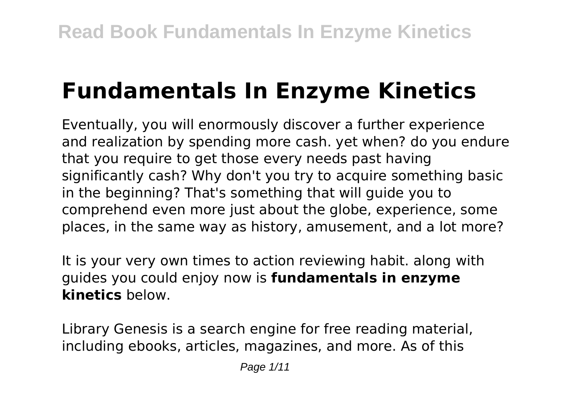# **Fundamentals In Enzyme Kinetics**

Eventually, you will enormously discover a further experience and realization by spending more cash. yet when? do you endure that you require to get those every needs past having significantly cash? Why don't you try to acquire something basic in the beginning? That's something that will guide you to comprehend even more just about the globe, experience, some places, in the same way as history, amusement, and a lot more?

It is your very own times to action reviewing habit. along with guides you could enjoy now is **fundamentals in enzyme kinetics** below.

Library Genesis is a search engine for free reading material, including ebooks, articles, magazines, and more. As of this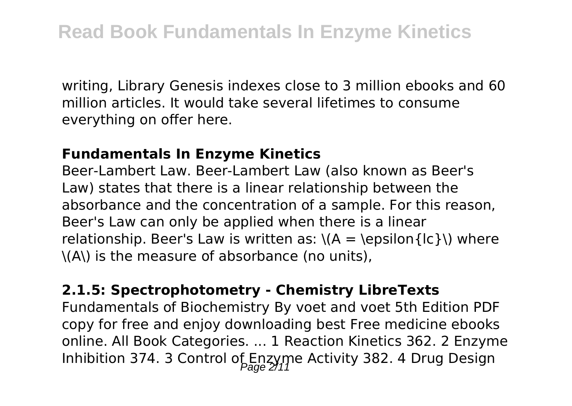writing, Library Genesis indexes close to 3 million ebooks and 60 million articles. It would take several lifetimes to consume everything on offer here.

#### **Fundamentals In Enzyme Kinetics**

Beer-Lambert Law. Beer-Lambert Law (also known as Beer's Law) states that there is a linear relationship between the absorbance and the concentration of a sample. For this reason, Beer's Law can only be applied when there is a linear relationship. Beer's Law is written as:  $\(A = \epsilon)$  = \epsilon{lc}\) where \(A\) is the measure of absorbance (no units),

#### **2.1.5: Spectrophotometry - Chemistry LibreTexts**

Fundamentals of Biochemistry By voet and voet 5th Edition PDF copy for free and enjoy downloading best Free medicine ebooks online. All Book Categories. ... 1 Reaction Kinetics 362. 2 Enzyme Inhibition 374. 3 Control of Enzyme Activity 382. 4 Drug Design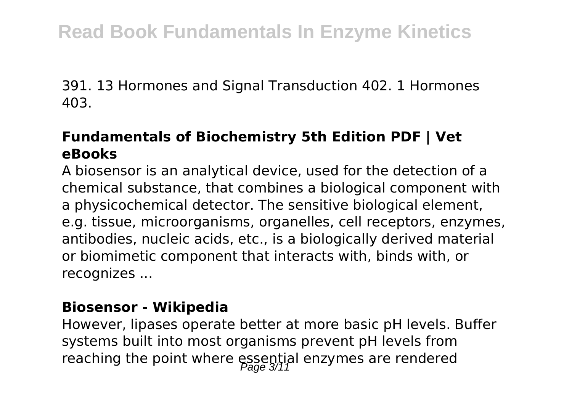391. 13 Hormones and Signal Transduction 402. 1 Hormones 403.

### **Fundamentals of Biochemistry 5th Edition PDF | Vet eBooks**

A biosensor is an analytical device, used for the detection of a chemical substance, that combines a biological component with a physicochemical detector. The sensitive biological element, e.g. tissue, microorganisms, organelles, cell receptors, enzymes, antibodies, nucleic acids, etc., is a biologically derived material or biomimetic component that interacts with, binds with, or recognizes ...

#### **Biosensor - Wikipedia**

However, lipases operate better at more basic pH levels. Buffer systems built into most organisms prevent pH levels from reaching the point where essential enzymes are rendered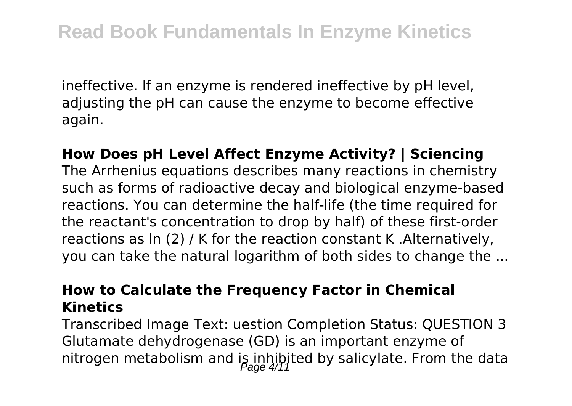ineffective. If an enzyme is rendered ineffective by pH level, adjusting the pH can cause the enzyme to become effective again.

### **How Does pH Level Affect Enzyme Activity? | Sciencing** The Arrhenius equations describes many reactions in chemistry such as forms of radioactive decay and biological enzyme-based reactions. You can determine the half-life (the time required for the reactant's concentration to drop by half) of these first-order reactions as ln (2) / K for the reaction constant K .Alternatively, you can take the natural logarithm of both sides to change the ...

#### **How to Calculate the Frequency Factor in Chemical Kinetics**

Transcribed Image Text: uestion Completion Status: QUESTION 3 Glutamate dehydrogenase (GD) is an important enzyme of nitrogen metabolism and is inhibited by salicylate. From the data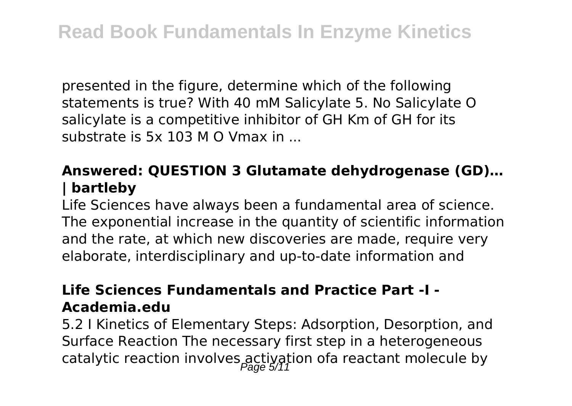presented in the figure, determine which of the following statements is true? With 40 mM Salicylate 5. No Salicylate O salicylate is a competitive inhibitor of GH Km of GH for its substrate is 5x 103 M O Vmax in ...

# **Answered: QUESTION 3 Glutamate dehydrogenase (GD)… | bartleby**

Life Sciences have always been a fundamental area of science. The exponential increase in the quantity of scientific information and the rate, at which new discoveries are made, require very elaborate, interdisciplinary and up-to-date information and

#### **Life Sciences Fundamentals and Practice Part -I - Academia.edu**

5.2 I Kinetics of Elementary Steps: Adsorption, Desorption, and Surface Reaction The necessary first step in a heterogeneous catalytic reaction involves activation ofa reactant molecule by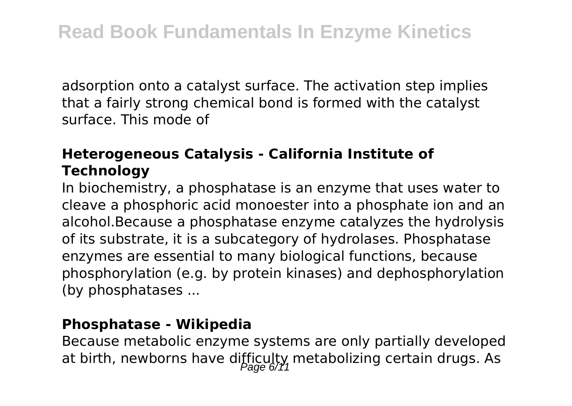adsorption onto a catalyst surface. The activation step implies that a fairly strong chemical bond is formed with the catalyst surface. This mode of

# **Heterogeneous Catalysis - California Institute of Technology**

In biochemistry, a phosphatase is an enzyme that uses water to cleave a phosphoric acid monoester into a phosphate ion and an alcohol.Because a phosphatase enzyme catalyzes the hydrolysis of its substrate, it is a subcategory of hydrolases. Phosphatase enzymes are essential to many biological functions, because phosphorylation (e.g. by protein kinases) and dephosphorylation (by phosphatases ...

#### **Phosphatase - Wikipedia**

Because metabolic enzyme systems are only partially developed at birth, newborns have difficulty metabolizing certain drugs. As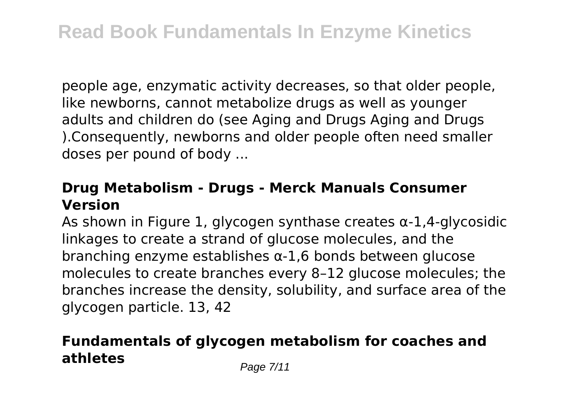people age, enzymatic activity decreases, so that older people, like newborns, cannot metabolize drugs as well as younger adults and children do (see Aging and Drugs Aging and Drugs ).Consequently, newborns and older people often need smaller doses per pound of body ...

#### **Drug Metabolism - Drugs - Merck Manuals Consumer Version**

As shown in Figure 1, glycogen synthase creates α-1,4-glycosidic linkages to create a strand of glucose molecules, and the branching enzyme establishes α-1,6 bonds between glucose molecules to create branches every 8–12 glucose molecules; the branches increase the density, solubility, and surface area of the glycogen particle. 13, 42

# **Fundamentals of glycogen metabolism for coaches and athletes** Page 7/11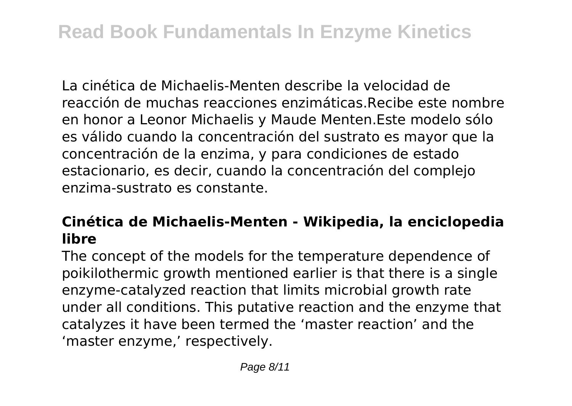La cinética de Michaelis-Menten describe la velocidad de reacción de muchas reacciones enzimáticas.Recibe este nombre en honor a Leonor Michaelis y Maude Menten.Este modelo sólo es válido cuando la concentración del sustrato es mayor que la concentración de la enzima, y para condiciones de estado estacionario, es decir, cuando la concentración del complejo enzima-sustrato es constante.

# **Cinética de Michaelis-Menten - Wikipedia, la enciclopedia libre**

The concept of the models for the temperature dependence of poikilothermic growth mentioned earlier is that there is a single enzyme-catalyzed reaction that limits microbial growth rate under all conditions. This putative reaction and the enzyme that catalyzes it have been termed the 'master reaction' and the 'master enzyme,' respectively.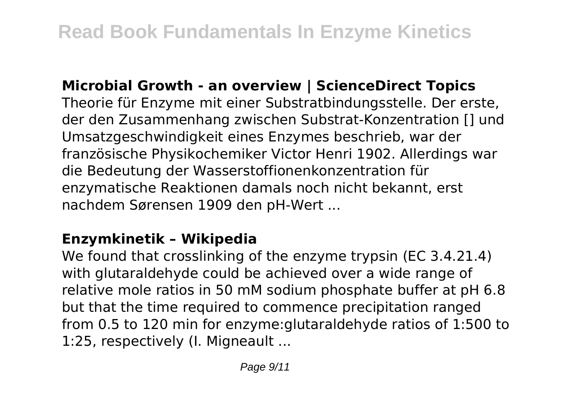#### **Microbial Growth - an overview | ScienceDirect Topics**

Theorie für Enzyme mit einer Substratbindungsstelle. Der erste, der den Zusammenhang zwischen Substrat-Konzentration [] und Umsatzgeschwindigkeit eines Enzymes beschrieb, war der französische Physikochemiker Victor Henri 1902. Allerdings war die Bedeutung der Wasserstoffionenkonzentration für enzymatische Reaktionen damals noch nicht bekannt, erst nachdem Sørensen 1909 den pH-Wert ...

#### **Enzymkinetik – Wikipedia**

We found that crosslinking of the enzyme trypsin (EC 3.4.21.4) with glutaraldehyde could be achieved over a wide range of relative mole ratios in 50 mM sodium phosphate buffer at pH 6.8 but that the time required to commence precipitation ranged from 0.5 to 120 min for enzyme:glutaraldehyde ratios of 1:500 to 1:25, respectively (I. Migneault ...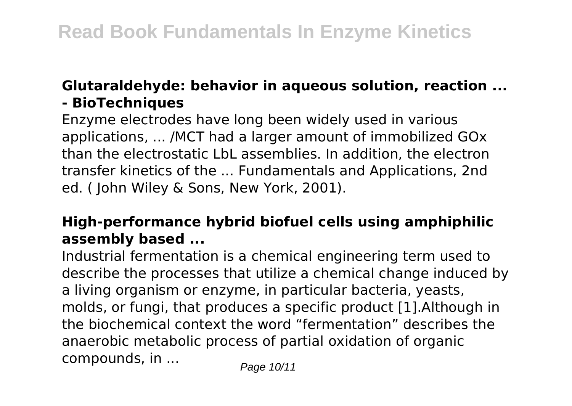#### **Glutaraldehyde: behavior in aqueous solution, reaction ... - BioTechniques**

Enzyme electrodes have long been widely used in various applications, ... /MCT had a larger amount of immobilized GOx than the electrostatic LbL assemblies. In addition, the electron transfer kinetics of the ... Fundamentals and Applications, 2nd ed. ( John Wiley & Sons, New York, 2001).

# **High-performance hybrid biofuel cells using amphiphilic assembly based ...**

Industrial fermentation is a chemical engineering term used to describe the processes that utilize a chemical change induced by a living organism or enzyme, in particular bacteria, yeasts, molds, or fungi, that produces a specific product [1].Although in the biochemical context the word "fermentation" describes the anaerobic metabolic process of partial oxidation of organic compounds, in  $\ldots$  Page 10/11